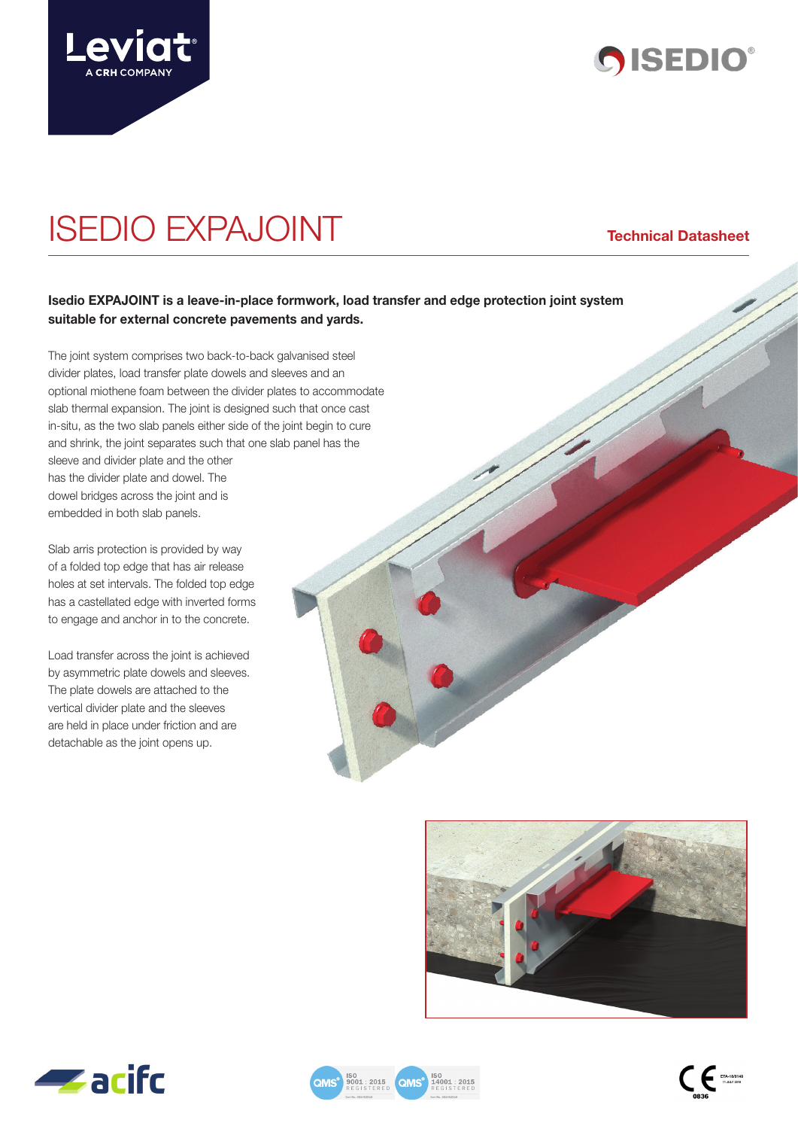



# ISEDIO EXPAJOINT **Technical Datasheet**

# **Isedio EXPAJOINT is a leave-in-place formwork, load transfer and edge protection joint system suitable for external concrete pavements and yards.**

The joint system comprises two back-to-back galvanised steel divider plates, load transfer plate dowels and sleeves and an optional miothene foam between the divider plates to accommodate slab thermal expansion. The joint is designed such that once cast in-situ, as the two slab panels either side of the joint begin to cure and shrink, the joint separates such that one slab panel has the sleeve and divider plate and the other has the divider plate and dowel. The dowel bridges across the joint and is embedded in both slab panels.

Slab arris protection is provided by way of a folded top edge that has air release holes at set intervals. The folded top edge has a castellated edge with inverted forms to engage and anchor in to the concrete.

Load transfer across the joint is achieved by asymmetric plate dowels and sleeves. The plate dowels are attached to the vertical divider plate and the sleeves are held in place under friction and are detachable as the joint opens up.